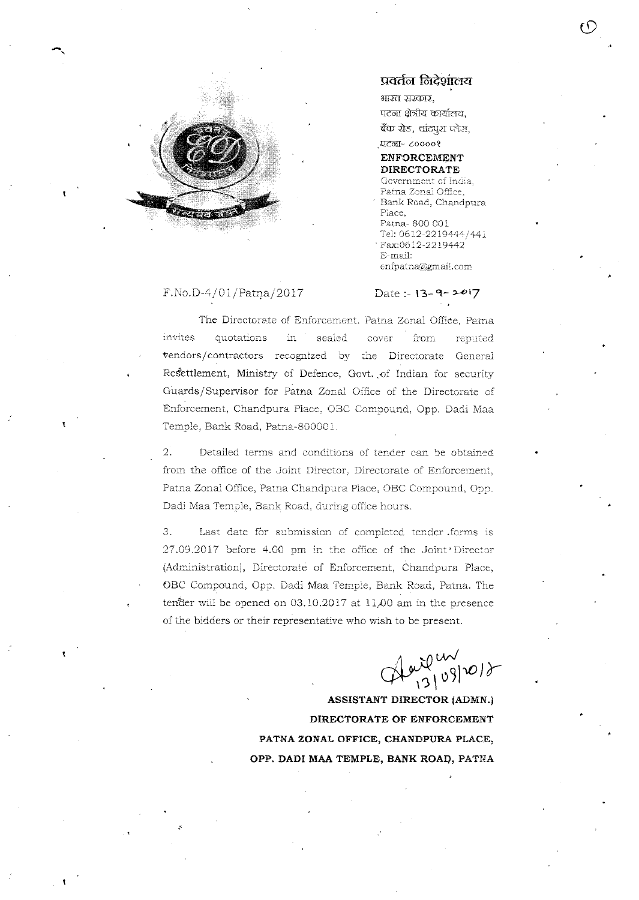

## प्रवर्तन निदेशांलय

भारत सरकार, पटना क्षेत्रीय कार्यालय, बैंक रोड, चांदपुरा प्लेस,

#### **ਧਟਰਜ਼- ८००००१ ENFORCEMENT DIRECTORATE**

Government of India, Patna Zonai Office, Bank Road, Chandpura Place, Patna-800 001 Tel: 0612-2219444/441 Fax:0612-2219442 E-mail: enfpatna@gmail.com

#### $F.No.D-4/01/Patna/2017$

### Date:  $-13-9-2017$

The Directorate of Enforcement. Patna Zonal Office, Patna invites quotations in. sealed cover from reputed vendors/contractors recognized by the Directorate General Resettlement, Ministry of Defence, Govt. of Indian for security Guards/Supervisor for Patna Zonal Office of the Directorate of Enforcement, Chandpura Place, OBC Compound, Opp. Dadi Maa Temple, Bank Road, Patna-800001.

 $2.$ Detailed terms and conditions of tender can be obtained from the office of the Joint Director, Directorate of Enforcement, Patna Zonal Office, Patna Chandpura Place, OBC Compound, Opp. Dadi Maa Temple, Bank Road, during office hours.

Last date for submission of completed tender forms is  $3.$ 27.09.2017 before 4.00 pm in the office of the Joint Director (Administration), Directorate of Enforcement, Chandpura Place, OBC Compound, Opp. Dadi Maa Temple, Bank Road, Patna. The tender will be opened on 03.10.2017 at 11.00 am in the presence of the bidders or their representative who wish to be present.

 $A^{\omega\omega}{}^{\omega\omega}_{(3109)2018}$ 

ASSISTANT DIRECTOR (ADMN.) DIRECTORATE OF ENFORCEMENT PATNA ZONAL OFFICE, CHANDPURA PLACE, OPP. DADI MAA TEMPLE, BANK ROAD, PATNA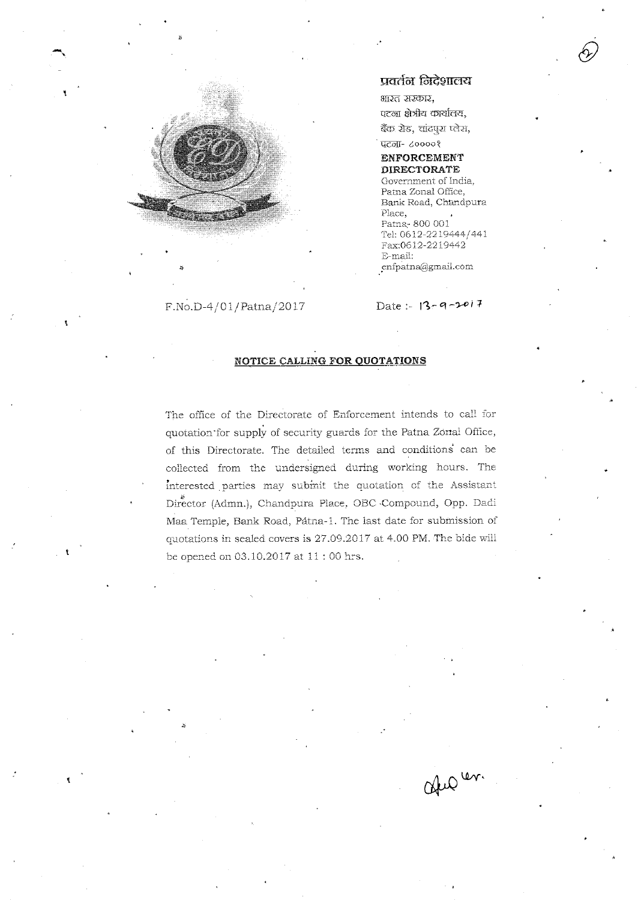

F.No.D-4/01/Patna/2017

# प्रवर्तन निदेशालय

भारत सरकार, पटना क्षेत्रीय कार्यालय, ब्रैंक रोड, चांदपुरा प्लेस,

पटना- ८००००१ **ENFORCEMENT** 

**DIRECTORATE** Government of India, Patna Zonal Office, Bank Road, Chandpura Place, Patna-800 001 Tel: 0612-2219444/441 Fax:0612-2219442 E-mail: enfpatna@gmail.com

Date:  $13 - 9 - 2017$ 

August.

### NOTICE CALLING FOR QUOTATIONS

The office of the Directorate of Enforcement intends to call for quotation for supply of security guards for the Patna Zonal Office, of this Directorate. The detailed terms and conditions can be collected from the undersigned during working hours. The interested parties may submit the quotation of the Assistant Director (Admn.), Chandpura Place, OBC Compound, Opp. Dadi Maa Temple, Bank Road, Pátna-1. The last date for submission of quotations in sealed covers is 27.09.2017 at 4.00 PM. The bide will be opened on 03.10.2017 at 11:00 hrs.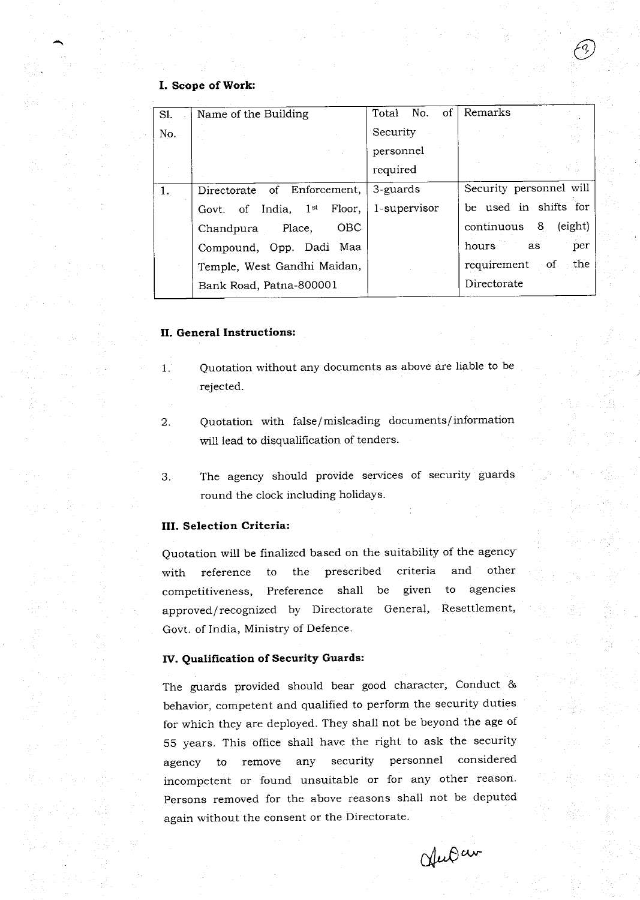# I. Scope of Work:

| Sl. | Name of the Building                   | of <sub>1</sub><br>Total No. | Remarks                        |
|-----|----------------------------------------|------------------------------|--------------------------------|
| No. |                                        | Security                     |                                |
|     |                                        | personnel                    |                                |
|     |                                        | required                     |                                |
| 1.  | Directorate of Enforcement,            | 3-guards                     | Security personnel will        |
|     | Govt. of India, 1 <sup>st</sup> Floor, | 1-supervisor                 | be used in shifts for          |
|     | <b>OBC</b><br>Chandpura Place,         |                              | (eight)<br>continuous 8        |
|     | Compound, Opp. Dadi Maa                |                              | per<br>hours <b>hour</b><br>as |
|     | Temple, West Gandhi Maidan,            |                              | $-$ the<br>requirement of      |
|     | Bank Road, Patna-800001                |                              | Directorate                    |
|     |                                        |                              |                                |

### II. General Instructions:

- 1 Quotation without any documents as above are liable to be rejected.
- 2 Quotation with false/misleading documents/information will lead to disqualification of tenders.
- $3<sub>1</sub>$ The agency should provide services of security guards round the clock including holidays.

## III. Selection Criteria:

Quotation will be finalized based on the suitability of the agency with reference to the prescribed criteria and other competitiveness, Preference shall be given to agencies approved/recognized by Directorate General, Resettlement, Govt. of India, Ministry of Defence.

### IV. Qualification of Security Guards:

The guards provided should bear good character, Conduct & behavior, competent and qualified to perform the security duties for which they are deployed. They shall not be beyond the age of 55 years. This office sha1l have the right to ask the security agency to remove any security personnel considered incompetent or found unsuitable or for any other reason. Persons removed for the above reasons shall not be deputed again without the consent or the Directorate.

Alect av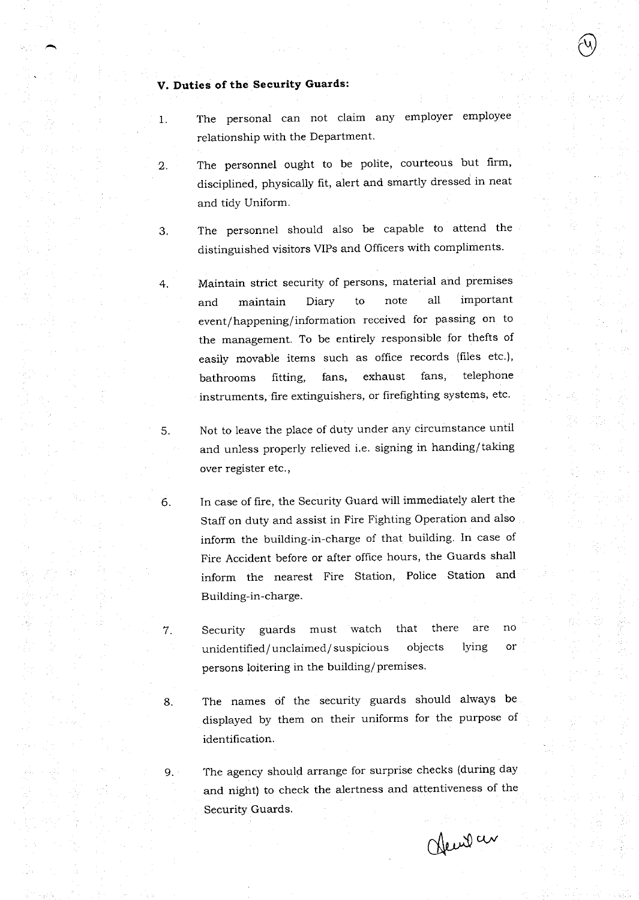# V. Duties of the Security Guards:

I

 $\overline{2}$ .

3

4

5

6

- The personal can not claim any employer employee relationship with the Department.
	- The personnel ought to be polite, courteous but firm, disciplined, physically frt, alert and smartly dressed in neat and tidy Uniform.
- The personnel should also be capable to attend the distinguished visitors VIPs and Officers with compliments.

Maintain strict security of persons, material and premises and maintain Diary to note all important event/ happening/ information received for passing on to the management. To be entirely responsible for thefts of easily movable items such as office records (files etc.), bathrooms fitting, fans, exhaust fans, telephone instruments, fire extinguishers, or firefighting systems, etc.

- Not to leave the place of duty under any circumstance until and unless properly relieved i.e. signing in handing/taking over register etc.,
- In case of fire, the Security Guard will immediately alert the Staff on duty and assist in Fire Fighting Operation and also inform the building-in-charge of that building. In case of Fire Accident before or after office hours, the Guards shall inform the nearest Fire Station, Police Station and Building-in-charge.
- Security guards must watch that there are unidentified/unclaimed/suspicious objects lying persons loitering in the building/premises. no or
- B

9.

7

The names of the security guards should always be displayed by them on their uniforms for the purpose of identification.

The agency should arrange for surprise checks (during day and night) to check the alertness and attentiveness of the Security Guards.

Chemit av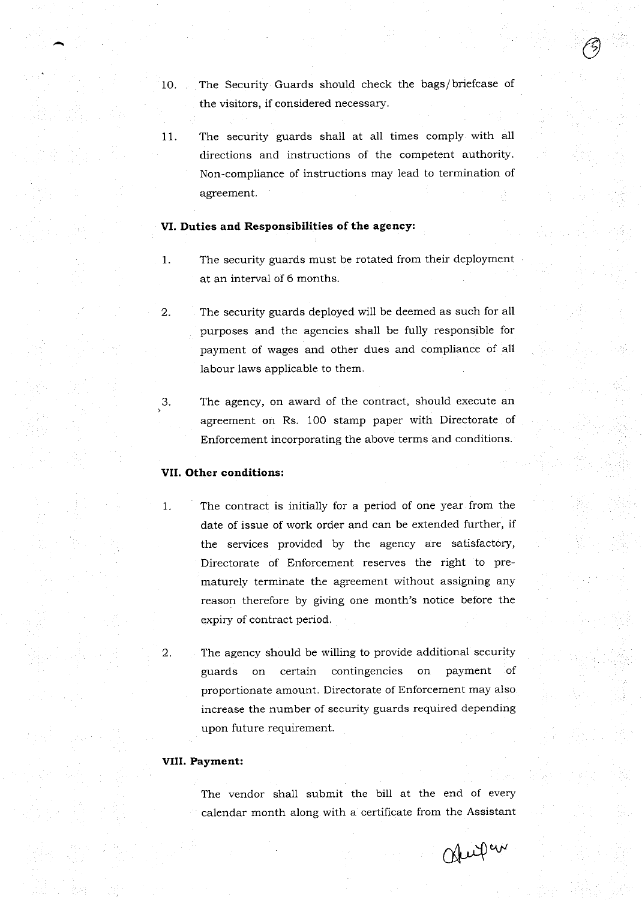10. The Security Guards should check the bags/briefcase of the visitors, if considered necessary.

O

The security guards shall at all times comply with all directions and instructions of the competent authority. Non-compliance of instructions may lead to termination of agreement. 11

## VI. Duties and Responsibilities of the agency:

- The security guards must be rotated from their deployment at an interval of 6 months. 1
- The security guards deployed will be deemed as such for all purposes and the agencies shall be fully responsible for payment of wages and other dues and compliance of all labour laws applicable to them. 2
- 3. The agency, on award of the contract, should execute an agreement on Rs. 100 stamp paper with Directorate of Enforcement incorporating the above terms and conditions.

## VII. Other conditions:

1

2

- The contract is initially for a period of one year from the date of issue of work order and can be extended further, if the services provided by the agency are satisfactory, Directorate of Enforcement reserves the right to prematurely terminate the agreement without assigning any reason therefore by giving one month's notice before the expiry of contract period.
- The agency should be willing to provide additional security guards on certain contingencies on payment of proportionate amount. Directorate of Enforcement may also increase the number of security guards required depending upon future requirement.

#### VIII. Payment:

The vendor shall submit the bill at the end of every calendar month along with a certificate from the Assistant

Official are